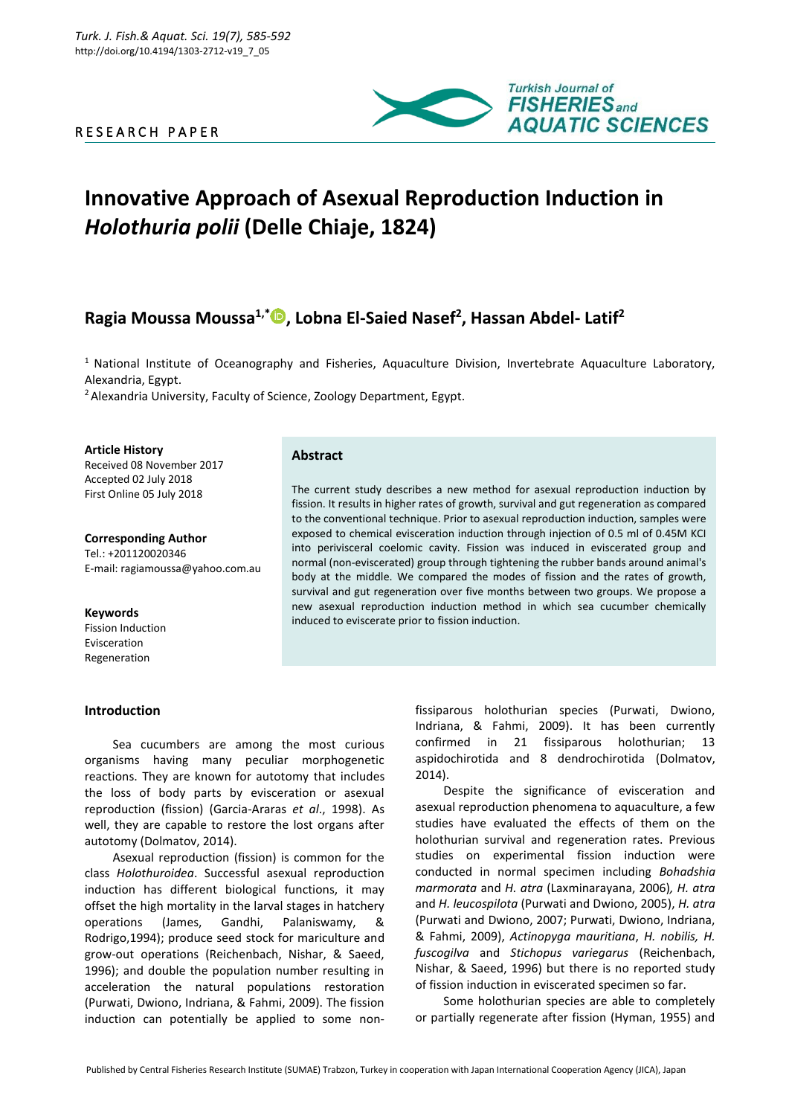# R E S E A R C H P A P E R



# **Innovative Approach of Asexual Reproduction Induction in**  *Holothuria polii* **(Delle Chiaje, 1824)**

# **Ragia Moussa Moussa1,\* , Lobna El-Saied Nasef<sup>2</sup> , Hassan Abdel- Latif<sup>2</sup>**

<sup>1</sup> National Institute of Oceanography and Fisheries, Aquaculture Division, Invertebrate Aquaculture Laboratory, Alexandria, Egypt.

<sup>2</sup> Alexandria University, Faculty of Science, Zoology Department, Egypt.

**Article History** Received 08 November 2017 Accepted 02 July 2018

First Online 05 July 2018

**Corresponding Author** Tel.: +201120020346 E-mail: ragiamoussa@yahoo.com.au

**Keywords** Fission Induction Evisceration Regeneration

# **Introduction**

# **Abstract**

The current study describes a new method for asexual reproduction induction by fission. It results in higher rates of growth, survival and gut regeneration as compared to the conventional technique. Prior to asexual reproduction induction, samples were exposed to chemical evisceration induction through injection of 0.5 ml of 0.45M KCI into perivisceral coelomic cavity. Fission was induced in eviscerated group and normal (non-eviscerated) group through tightening the rubber bands around animal's body at the middle. We compared the modes of fission and the rates of growth, survival and gut regeneration over five months between two groups. We propose a new asexual reproduction induction method in which sea cucumber chemically induced to eviscerate prior to fission induction.

Sea cucumbers are among the most curious organisms having many peculiar morphogenetic reactions. They are known for autotomy that includes the loss of body parts by evisceration or asexual reproduction (fission) (Garcia-Araras *et al*., 1998). As well, they are capable to restore the lost organs after autotomy (Dolmatov, 2014).

Asexual reproduction (fission) is common for the class *Holothuroidea*. Successful asexual reproduction induction has different biological functions, it may offset the high mortality in the larval stages in hatchery operations (James, Gandhi, Palaniswamy, Rodrigo,1994); produce seed stock for mariculture and grow-out operations (Reichenbach, Nishar, & Saeed, 1996); and double the population number resulting in acceleration the natural populations restoration (Purwati, Dwiono, Indriana, & Fahmi, 2009). The fission induction can potentially be applied to some non-

fissiparous holothurian species (Purwati, Dwiono, Indriana, & Fahmi, 2009). It has been currently confirmed in 21 fissiparous holothurian; 13 aspidochirotida and 8 dendrochirotida (Dolmatov, 2014).

Despite the significance of evisceration and asexual reproduction phenomena to aquaculture, a few studies have evaluated the effects of them on the holothurian survival and regeneration rates. Previous studies on experimental fission induction were conducted in normal specimen including *Bohadshia marmorata* and *H. atra* (Laxminarayana, 2006)*, H. atra* and *H. leucospilota* (Purwati and Dwiono, 2005), *H. atra* (Purwati and Dwiono, 2007; Purwati, Dwiono, Indriana, & Fahmi, 2009), *Actinopyga mauritiana*, *H. nobilis, H. fuscogilva* and *Stichopus variegarus* (Reichenbach, Nishar, & Saeed, 1996) but there is no reported study of fission induction in eviscerated specimen so far.

Some holothurian species are able to completely or partially regenerate after fission (Hyman, 1955) and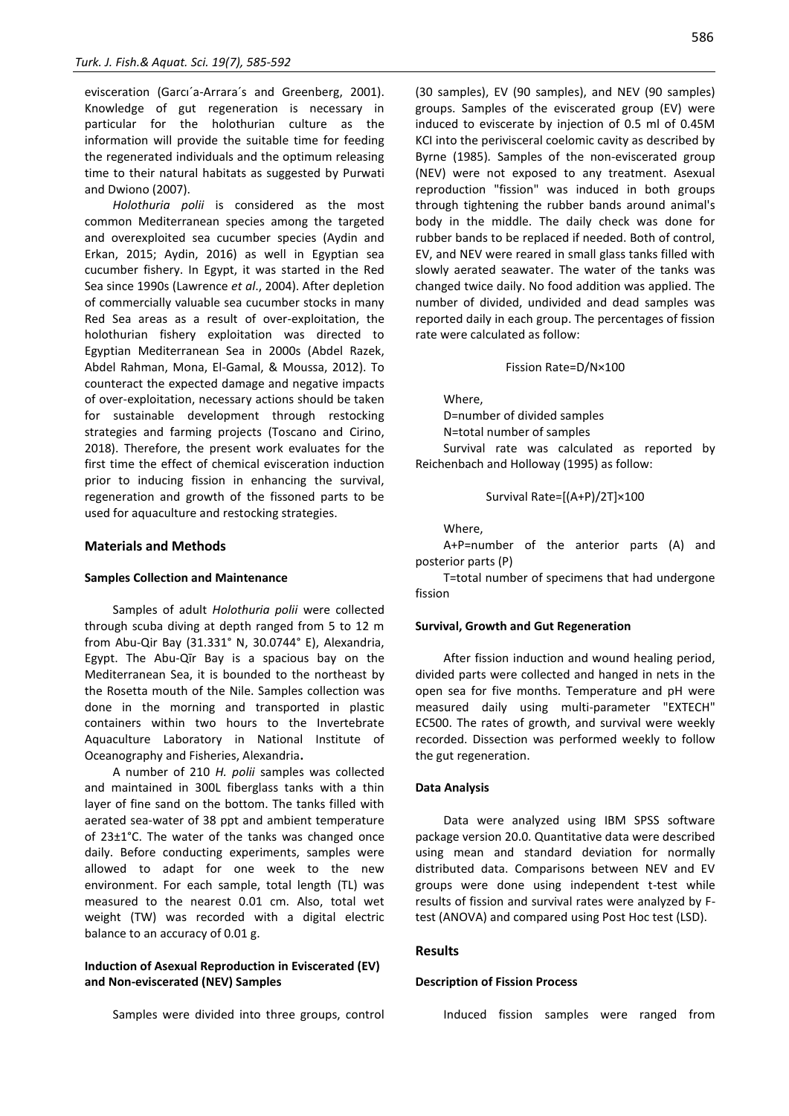evisceration (Garcı´a-Arrara´s and Greenberg, 2001). Knowledge of gut regeneration is necessary in particular for the holothurian culture as the information will provide the suitable time for feeding the regenerated individuals and the optimum releasing time to their natural habitats as suggested by Purwati and Dwiono (2007).

*Holothuria polii* is considered as the most common Mediterranean species among the targeted and overexploited sea cucumber species (Aydin and Erkan, 2015; Aydin, 2016) as well in Egyptian sea cucumber fishery. In Egypt, it was started in the Red Sea since 1990s (Lawrence *et al*., 2004). After depletion of commercially valuable sea cucumber stocks in many Red Sea areas as a result of over-exploitation, the holothurian fishery exploitation was directed to Egyptian Mediterranean Sea in 2000s (Abdel Razek, Abdel Rahman, Mona, El-Gamal, & Moussa, 2012). To counteract the expected damage and negative impacts of over-exploitation, necessary actions should be taken for sustainable development through restocking strategies and farming projects (Toscano and Cirino, 2018). Therefore, the present work evaluates for the first time the effect of chemical evisceration induction prior to inducing fission in enhancing the survival, regeneration and growth of the fissoned parts to be used for aquaculture and restocking strategies.

#### **Materials and Methods**

#### **Samples Collection and Maintenance**

Samples of adult *Holothuria polii* were collected through scuba diving at depth ranged from 5 to 12 m from Abu-Qir Bay (31.331° N, 30.0744° E), Alexandria, Egypt. The Abu-Qīr Bay is a spacious bay on the Mediterranean Sea, it is bounded to the northeast by the Rosetta mouth of the Nile. Samples collection was done in the morning and transported in plastic containers within two hours to the Invertebrate Aquaculture Laboratory in National Institute of Oceanography and Fisheries, Alexandria**.**

A number of 210 *H. polii* samples was collected and maintained in 300L fiberglass tanks with a thin layer of fine sand on the bottom. The tanks filled with aerated sea-water of 38 ppt and ambient temperature of 23±1°C. The water of the tanks was changed once daily. Before conducting experiments, samples were allowed to adapt for one week to the new environment. For each sample, total length (TL) was measured to the nearest 0.01 cm. Also, total wet weight (TW) was recorded with a digital electric balance to an accuracy of 0.01 g.

# **Induction of Asexual Reproduction in Eviscerated (EV) and Non-eviscerated (NEV) Samples**

Samples were divided into three groups, control

(30 samples), EV (90 samples), and NEV (90 samples) groups. Samples of the eviscerated group (EV) were induced to eviscerate by injection of 0.5 ml of 0.45M KCI into the perivisceral coelomic cavity as described by Byrne (1985)*.* Samples of the non-eviscerated group (NEV) were not exposed to any treatment. Asexual reproduction "fission" was induced in both groups through tightening the rubber bands around animal's body in the middle. The daily check was done for rubber bands to be replaced if needed. Both of control, EV, and NEV were reared in small glass tanks filled with slowly aerated seawater. The water of the tanks was changed twice daily. No food addition was applied. The number of divided, undivided and dead samples was reported daily in each group. The percentages of fission rate were calculated as follow:

#### Fission Rate=D/N×100

Where,

D=number of divided samples

N=total number of samples

Survival rate was calculated as reported by Reichenbach and Holloway (1995) as follow:

Survival Rate=[(A+P)/2T]×100

Where,

A+P=number of the anterior parts (A) and posterior parts (P)

T=total number of specimens that had undergone fission

#### **Survival, Growth and Gut Regeneration**

After fission induction and wound healing period, divided parts were collected and hanged in nets in the open sea for five months. Temperature and pH were measured daily using multi-parameter "EXTECH" EC500. The rates of growth, and survival were weekly recorded. Dissection was performed weekly to follow the gut regeneration.

#### **Data Analysis**

Data were analyzed using IBM SPSS software package version 20.0. Quantitative data were described using mean and standard deviation for normally distributed data. Comparisons between NEV and EV groups were done using independent t-test while results of fission and survival rates were analyzed by Ftest (ANOVA) and compared using Post Hoc test (LSD).

#### **Results**

#### **Description of Fission Process**

Induced fission samples were ranged from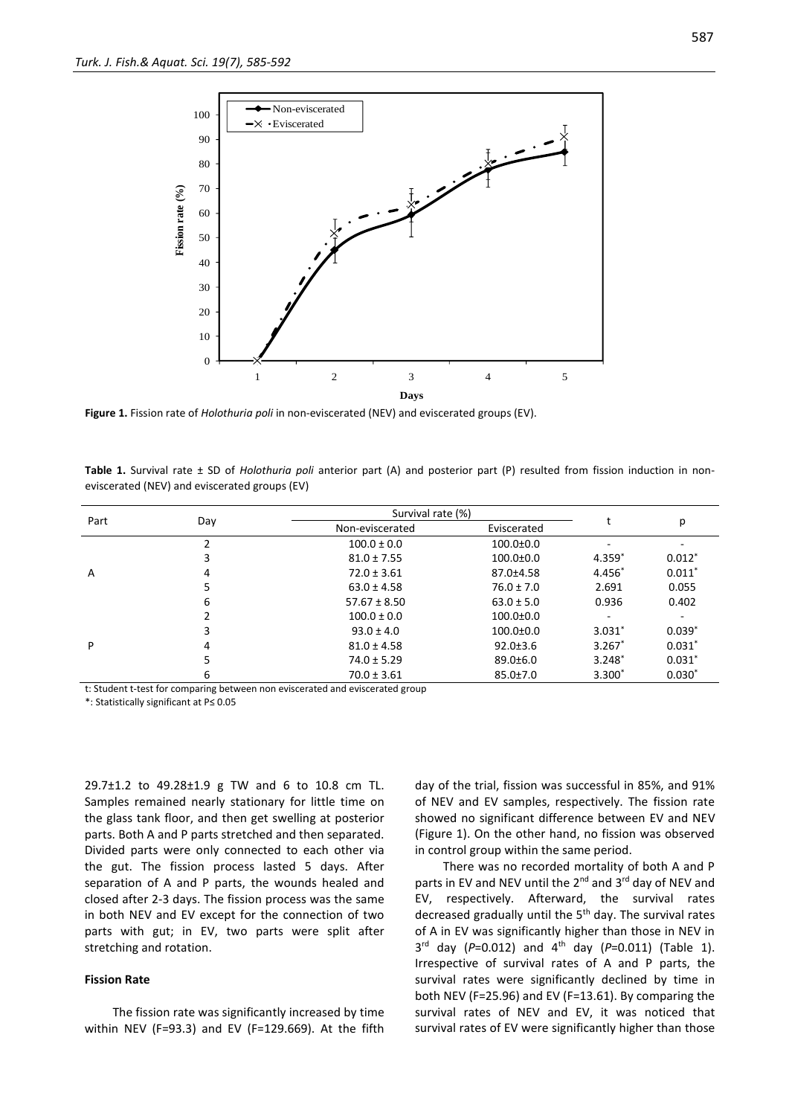

**Figure 1.** Fission rate of *Holothuria poli* in non-eviscerated (NEV) and eviscerated groups (EV).

| Part | Day | Survival rate (%) |                 |          |          |
|------|-----|-------------------|-----------------|----------|----------|
|      |     | Non-eviscerated   | Eviscerated     |          | р        |
| A    |     | $100.0 \pm 0.0$   | $100.0 \pm 0.0$ | ٠        | ۰        |
|      | 3   | $81.0 \pm 7.55$   | $100.0 \pm 0.0$ | $4.359*$ | $0.012*$ |
|      | 4   | $72.0 \pm 3.61$   | 87.0±4.58       | 4.456*   | $0.011*$ |
|      | 5   | $63.0 \pm 4.58$   | $76.0 \pm 7.0$  | 2.691    | 0.055    |
|      | 6   | $57.67 \pm 8.50$  | $63.0 \pm 5.0$  | 0.936    | 0.402    |
| P    |     | $100.0 \pm 0.0$   | $100.0 \pm 0.0$ | ۰.       | ٠        |
|      | 3   | $93.0 \pm 4.0$    | $100.0 \pm 0.0$ | $3.031*$ | $0.039*$ |
|      | 4   | $81.0 \pm 4.58$   | $92.0 \pm 3.6$  | $3.267*$ | $0.031*$ |
|      | 5   | $74.0 \pm 5.29$   | $89.0 \pm 6.0$  | $3.248*$ | $0.031*$ |
|      | 6   | $70.0 \pm 3.61$   | $85.0 \pm 7.0$  | $3.300*$ | $0.030*$ |

**Table 1.** Survival rate ± SD of *Holothuria poli* anterior part (A) and posterior part (P) resulted from fission induction in noneviscerated (NEV) and eviscerated groups (EV)

t: Student t-test for comparing between non eviscerated and eviscerated group

\*: Statistically significant at P≤ 0.05

29.7±1.2 to 49.28±1.9 g TW and 6 to 10.8 cm TL. Samples remained nearly stationary for little time on the glass tank floor, and then get swelling at posterior parts. Both A and P parts stretched and then separated. Divided parts were only connected to each other via the gut. The fission process lasted 5 days. After separation of A and P parts, the wounds healed and closed after 2-3 days. The fission process was the same in both NEV and EV except for the connection of two parts with gut; in EV, two parts were split after stretching and rotation.

#### **Fission Rate**

The fission rate was significantly increased by time within NEV (F=93.3) and EV (F=129.669). At the fifth day of the trial, fission was successful in 85%, and 91% of NEV and EV samples, respectively. The fission rate showed no significant difference between EV and NEV (Figure 1). On the other hand, no fission was observed in control group within the same period.

There was no recorded mortality of both A and P parts in EV and NEV until the 2<sup>nd</sup> and 3<sup>rd</sup> day of NEV and EV, respectively. Afterward, the survival rates decreased gradually until the  $5<sup>th</sup>$  day. The survival rates of A in EV was significantly higher than those in NEV in 3 rd day (*P*=0.012) and 4th day (*P*=0.011) (Table 1). Irrespective of survival rates of A and P parts, the survival rates were significantly declined by time in both NEV (F=25.96) and EV (F=13.61). By comparing the survival rates of NEV and EV, it was noticed that survival rates of EV were significantly higher than those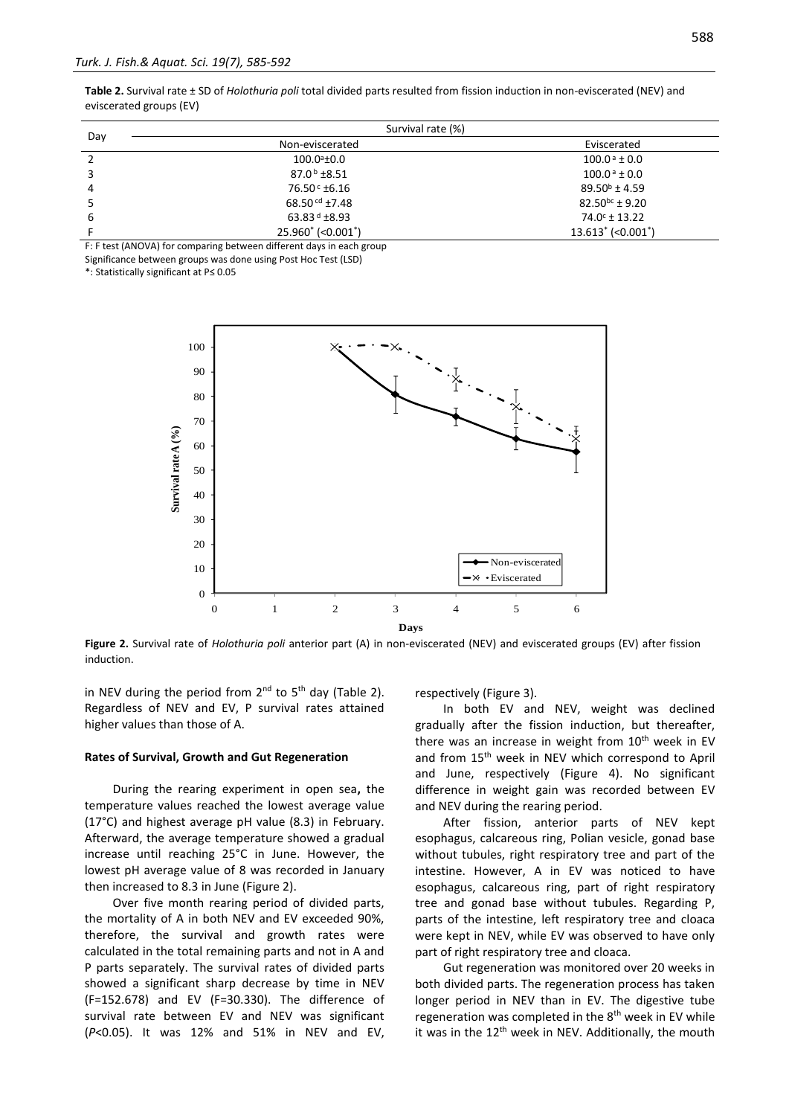**Table 2.** Survival rate ± SD of *Holothuria poli* total divided parts resulted from fission induction in non-eviscerated (NEV) and eviscerated groups (EV)

|     | Survival rate (%)           |                                  |  |  |
|-----|-----------------------------|----------------------------------|--|--|
| Day | Non-eviscerated             | Eviscerated                      |  |  |
|     | $100.0^{\circ}$ ±0.0        | $100.0^{\text{ a}}$ ± 0.0        |  |  |
|     | $87.0b \pm 8.51$            | $100.0^{\text{ a}}$ ± 0.0        |  |  |
| 4   | 76.50 ° ±6.16               | $89.50^{\circ}$ ± 4.59           |  |  |
|     | 68.50 $\text{cd } \pm 7.48$ | $82.50^{bc} \pm 9.20$            |  |  |
| 6   | 63.83 $d$ ±8.93             | $74.0^{\circ}$ ± 13.22           |  |  |
|     | 25.960* (<0.001*)           | $13.613'$ (<0.001 <sup>*</sup> ) |  |  |

F: F test (ANOVA) for comparing between different days in each group

Significance between groups was done using Post Hoc Test (LSD)

\*: Statistically significant at P≤ 0.05



**Figure 2.** Survival rate of *Holothuria poli* anterior part (A) in non-eviscerated (NEV) and eviscerated groups (EV) after fission induction.

in NEV during the period from  $2^{nd}$  to  $5^{th}$  day (Table 2). Regardless of NEV and EV, P survival rates attained higher values than those of A.

#### **Rates of Survival, Growth and Gut Regeneration**

During the rearing experiment in open sea**,** the temperature values reached the lowest average value (17°C) and highest average pH value (8.3) in February. Afterward, the average temperature showed a gradual increase until reaching 25°C in June. However, the lowest pH average value of 8 was recorded in January then increased to 8.3 in June (Figure 2).

Over five month rearing period of divided parts, the mortality of A in both NEV and EV exceeded 90%, therefore, the survival and growth rates were calculated in the total remaining parts and not in A and P parts separately. The survival rates of divided parts showed a significant sharp decrease by time in NEV (F=152.678) and EV (F=30.330). The difference of survival rate between EV and NEV was significant (*P*<0.05). It was 12% and 51% in NEV and EV, respectively (Figure 3).

In both EV and NEV, weight was declined gradually after the fission induction, but thereafter, there was an increase in weight from  $10<sup>th</sup>$  week in EV and from 15<sup>th</sup> week in NEV which correspond to April and June, respectively (Figure 4). No significant difference in weight gain was recorded between EV and NEV during the rearing period.

After fission, anterior parts of NEV kept esophagus, calcareous ring, Polian vesicle, gonad base without tubules, right respiratory tree and part of the intestine. However, A in EV was noticed to have esophagus, calcareous ring, part of right respiratory tree and gonad base without tubules. Regarding P, parts of the intestine, left respiratory tree and cloaca were kept in NEV, while EV was observed to have only part of right respiratory tree and cloaca.

Gut regeneration was monitored over 20 weeks in both divided parts. The regeneration process has taken longer period in NEV than in EV. The digestive tube regeneration was completed in the  $8<sup>th</sup>$  week in EV while it was in the 12<sup>th</sup> week in NEV. Additionally, the mouth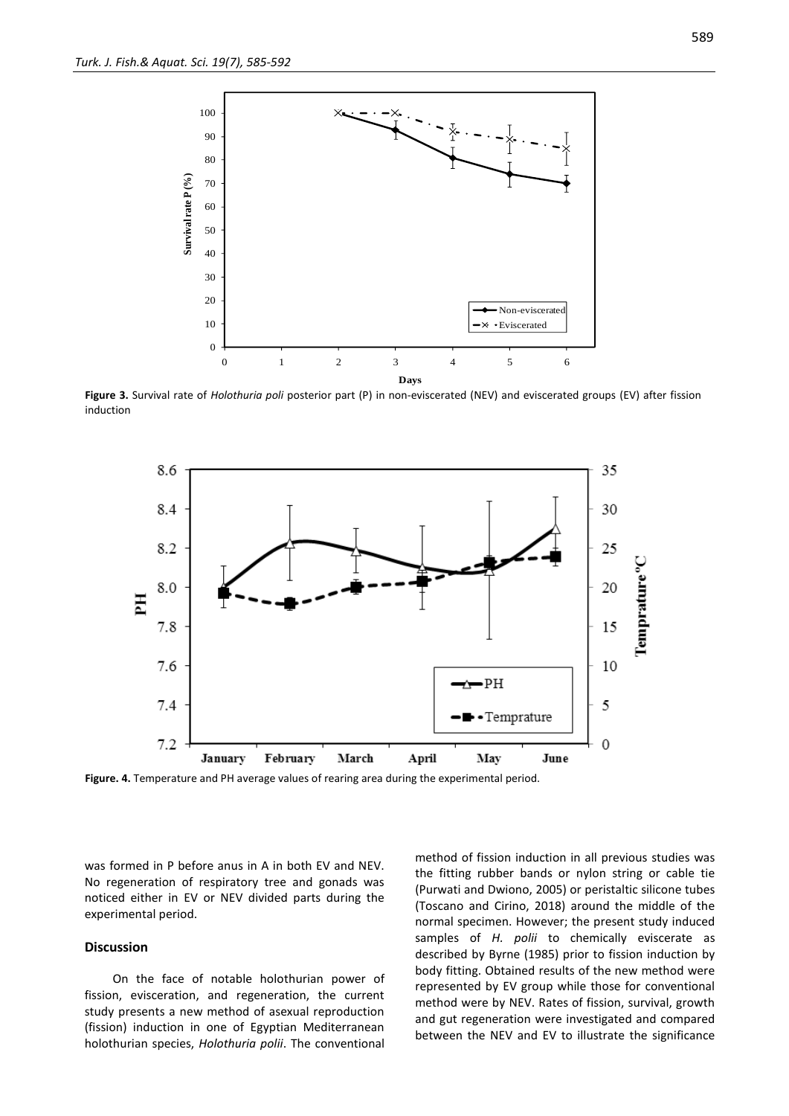

**Figure 3.** Survival rate of *Holothuria poli* posterior part (P) in non-eviscerated (NEV) and eviscerated groups (EV) after fission induction



**Figure. 4.** Temperature and PH average values of rearing area during the experimental period.

was formed in P before anus in A in both EV and NEV. No regeneration of respiratory tree and gonads was noticed either in EV or NEV divided parts during the experimental period.

#### **Discussion**

On the face of notable holothurian power of fission, evisceration, and regeneration, the current study presents a new method of asexual reproduction (fission) induction in one of Egyptian Mediterranean holothurian species, *Holothuria polii*. The conventional method of fission induction in all previous studies was the fitting rubber bands or nylon string or cable tie (Purwati and Dwiono, 2005) or peristaltic silicone tubes (Toscano and Cirino, 2018) around the middle of the normal specimen. However; the present study induced samples of *H. polii* to chemically eviscerate as described by Byrne (1985) prior to fission induction by body fitting. Obtained results of the new method were represented by EV group while those for conventional method were by NEV. Rates of fission, survival, growth and gut regeneration were investigated and compared between the NEV and EV to illustrate the significance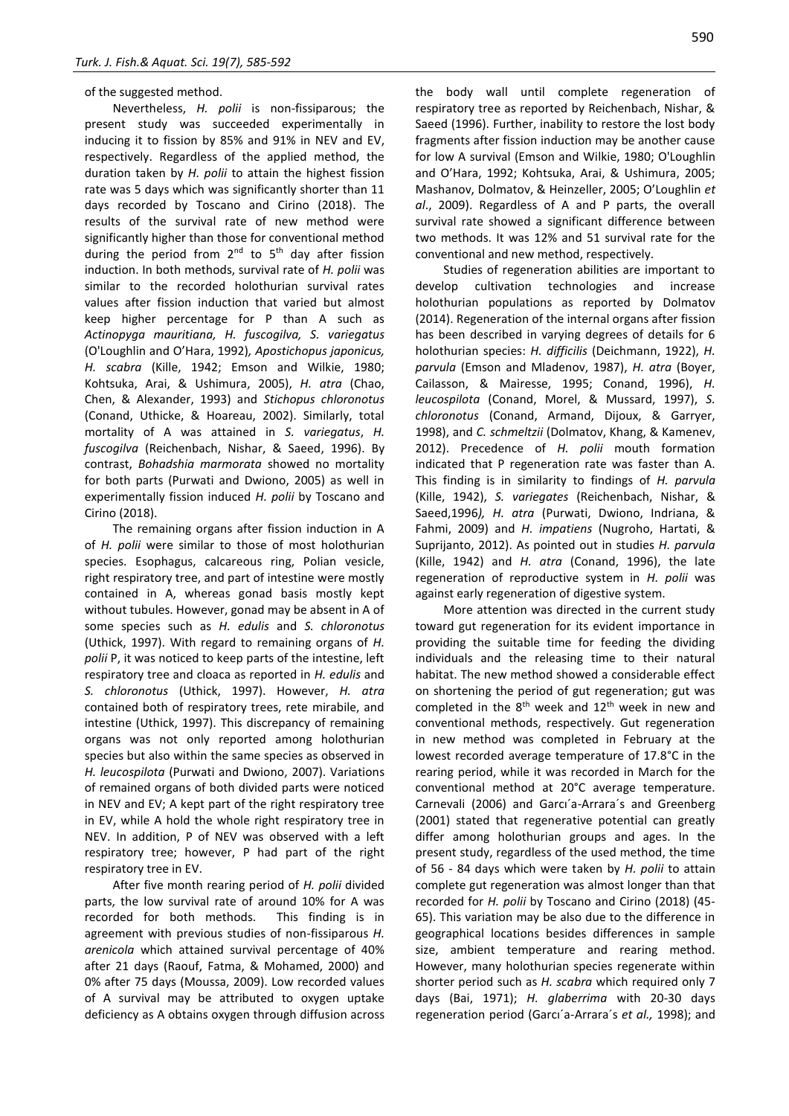#### of the suggested method.

Nevertheless, *H. polii* is non-fissiparous; the present study was succeeded experimentally in inducing it to fission by 85% and 91% in NEV and EV, respectively. Regardless of the applied method, the duration taken by *H. polii* to attain the highest fission rate was 5 days which was significantly shorter than 11 days recorded by Toscano and Cirino (2018). The results of the survival rate of new method were significantly higher than those for conventional method during the period from  $2^{nd}$  to  $5^{th}$  day after fission induction. In both methods, survival rate of *H. polii* was similar to the recorded holothurian survival rates values after fission induction that varied but almost keep higher percentage for P than A such as *Actinopyga mauritiana, H. fuscogilva, S. variegatus* (O'Loughlin and O'Hara, 1992)*, Apostichopus japonicus, H. scabra* (Kille, 1942; Emson and Wilkie, 1980; Kohtsuka, Arai, & Ushimura, 2005), *H. atra* (Chao, Chen, & Alexander, 1993) and *Stichopus chloronotus* (Conand, Uthicke, & Hoareau, 2002). Similarly, total mortality of A was attained in *S. variegatus*, *H. fuscogilva* (Reichenbach, Nishar, & Saeed, 1996). By contrast, *Bohadshia marmorata* showed no mortality for both parts (Purwati and Dwiono, 2005) as well in experimentally fission induced *H. polii* by Toscano and Cirino (2018).

The remaining organs after fission induction in A of *H. polii* were similar to those of most holothurian species. Esophagus, calcareous ring, Polian vesicle, right respiratory tree, and part of intestine were mostly contained in A, whereas gonad basis mostly kept without tubules. However, gonad may be absent in A of some species such as *H. edulis* and *S. chloronotus* (Uthick, 1997). With regard to remaining organs of *H. polii* P, it was noticed to keep parts of the intestine, left respiratory tree and cloaca as reported in *H. edulis* and *S. chloronotus* (Uthick, 1997). However, *H. atra* contained both of respiratory trees, rete mirabile, and intestine (Uthick, 1997). This discrepancy of remaining organs was not only reported among holothurian species but also within the same species as observed in *H. leucospilota* (Purwati and Dwiono, 2007). Variations of remained organs of both divided parts were noticed in NEV and EV; A kept part of the right respiratory tree in EV, while A hold the whole right respiratory tree in NEV. In addition, P of NEV was observed with a left respiratory tree; however, P had part of the right respiratory tree in EV.

After five month rearing period of *H. polii* divided parts, the low survival rate of around 10% for A was recorded for both methods. This finding is in agreement with previous studies of non-fissiparous *H. arenicola* which attained survival percentage of 40% after 21 days (Raouf, Fatma, & Mohamed, 2000) and 0% after 75 days (Moussa, 2009). Low recorded values of A survival may be attributed to oxygen uptake deficiency as A obtains oxygen through diffusion across the body wall until complete regeneration of respiratory tree as reported by Reichenbach, Nishar, & Saeed (1996). Further, inability to restore the lost body fragments after fission induction may be another cause for low A survival (Emson and Wilkie, 1980; O'Loughlin and O'Hara, 1992; Kohtsuka, Arai, & Ushimura, 2005; Mashanov, Dolmatov, & Heinzeller, 2005; O'Loughlin *et al*., 2009). Regardless of A and P parts, the overall survival rate showed a significant difference between two methods. It was 12% and 51 survival rate for the conventional and new method, respectively.

Studies of regeneration abilities are important to develop cultivation technologies and increase holothurian populations as reported by Dolmatov (2014). Regeneration of the internal organs after fission has been described in varying degrees of details for 6 holothurian species: *H. difficilis* (Deichmann, 1922), *H. parvula* (Emson and Mladenov, 1987), *H. atra* (Boyer, Cailasson, & Mairesse, 1995; Conand, 1996), *H. leucospilota* (Conand, Morel, & Mussard, 1997), *S. chloronotus* (Conand, Armand, Dijoux, & Garryer, 1998), and *C. schmeltzii* (Dolmatov, Khang, & Kamenev, 2012). Precedence of *H. polii* mouth formation indicated that P regeneration rate was faster than A. This finding is in similarity to findings of *H. parvula* (Kille, 1942), *S. variegates* (Reichenbach, Nishar, & Saeed,1996*), H. atra* (Purwati, Dwiono, Indriana, & Fahmi, 2009) and *H. impatiens* (Nugroho, Hartati, & Suprijanto, 2012). As pointed out in studies *H. parvula* (Kille, 1942) and *H. atra* (Conand, 1996), the late regeneration of reproductive system in *H. polii* was against early regeneration of digestive system.

More attention was directed in the current study toward gut regeneration for its evident importance in providing the suitable time for feeding the dividing individuals and the releasing time to their natural habitat. The new method showed a considerable effect on shortening the period of gut regeneration; gut was completed in the  $8<sup>th</sup>$  week and  $12<sup>th</sup>$  week in new and conventional methods, respectively. Gut regeneration in new method was completed in February at the lowest recorded average temperature of 17.8°C in the rearing period, while it was recorded in March for the conventional method at 20°C average temperature. Carnevali (2006) and Garcı´a-Arrara´s and Greenberg (2001) stated that regenerative potential can greatly differ among holothurian groups and ages. In the present study, regardless of the used method, the time of 56 - 84 days which were taken by *H. polii* to attain complete gut regeneration was almost longer than that recorded for *H. polii* by Toscano and Cirino (2018) (45- 65). This variation may be also due to the difference in geographical locations besides differences in sample size, ambient temperature and rearing method. However, many holothurian species regenerate within shorter period such as *H. scabra* which required only 7 days (Bai, 1971); *H. glaberrima* with 20-30 days regeneration period (Garcı´a-Arrara´s *et al.,* 1998); and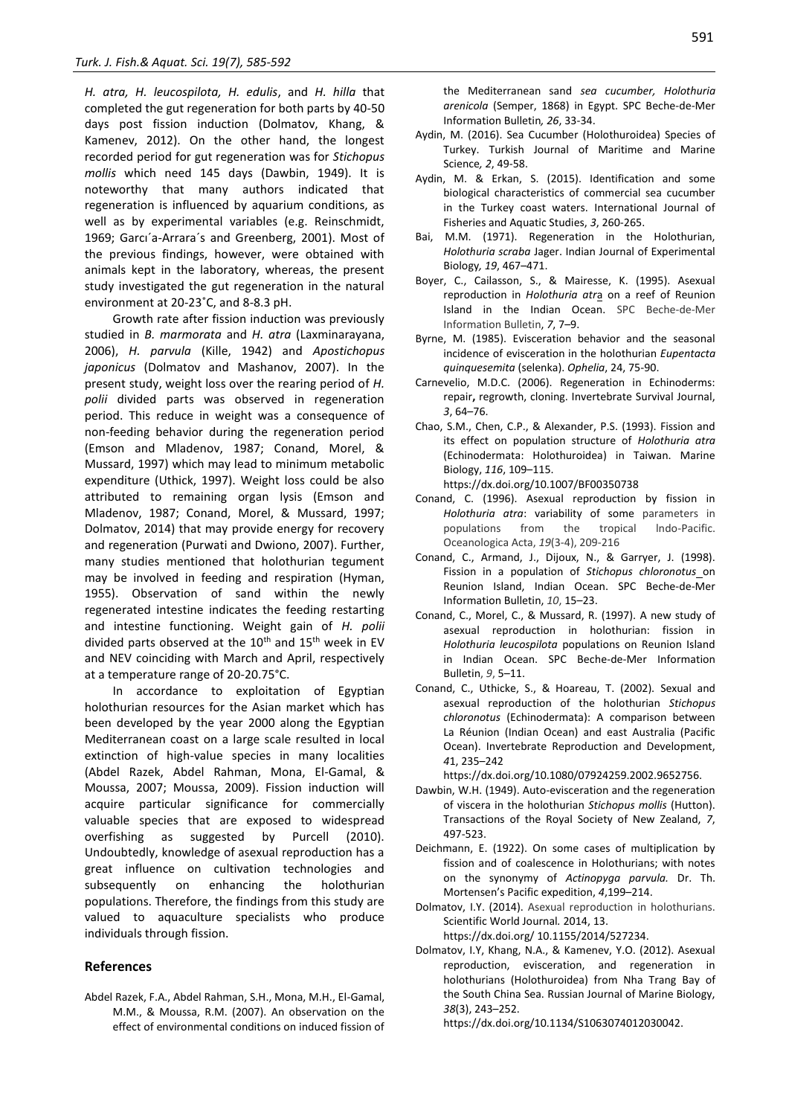*H. atra, H. leucospilota, H. edulis*, and *H. hilla* that completed the gut regeneration for both parts by 40-50 days post fission induction (Dolmatov, Khang, & Kamenev, 2012). On the other hand, the longest recorded period for gut regeneration was for *Stichopus mollis* which need 145 days (Dawbin, 1949). It is noteworthy that many authors indicated that regeneration is influenced by aquarium conditions, as well as by experimental variables (e.g. Reinschmidt, 1969; Garcı´a-Arrara´s and Greenberg, 2001). Most of the previous findings, however, were obtained with animals kept in the laboratory, whereas, the present study investigated the gut regeneration in the natural environment at 20-23˚C, and 8-8.3 pH.

Growth rate after fission induction was previously studied in *B. marmorata* and *H. atra* (Laxminarayana, 2006), *H. parvula* (Kille, 1942) and *Apostichopus japonicus* (Dolmatov and Mashanov, 2007). In the present study, weight loss over the rearing period of *H. polii* divided parts was observed in regeneration period. This reduce in weight was a consequence of non-feeding behavior during the regeneration period (Emson and Mladenov, 1987; Conand, Morel, & Mussard, 1997) which may lead to minimum metabolic expenditure (Uthick, 1997). Weight loss could be also attributed to remaining organ lysis (Emson and Mladenov, 1987; Conand, Morel, & Mussard, 1997; Dolmatov, 2014) that may provide energy for recovery and regeneration (Purwati and Dwiono, 2007). Further, many studies mentioned that holothurian tegument may be involved in feeding and respiration (Hyman, 1955). Observation of sand within the newly regenerated intestine indicates the feeding restarting and intestine functioning. Weight gain of *H. polii*  divided parts observed at the  $10^{th}$  and  $15^{th}$  week in EV and NEV coinciding with March and April, respectively at a temperature range of 20-20.75°C.

In accordance to exploitation of Egyptian holothurian resources for the Asian market which has been developed by the year 2000 along the Egyptian Mediterranean coast on a large scale resulted in local extinction of high-value species in many localities (Abdel Razek, Abdel Rahman, Mona, El-Gamal, & Moussa, 2007; Moussa, 2009). Fission induction will acquire particular significance for commercially valuable species that are exposed to widespread overfishing as suggested by Purcell (2010). Undoubtedly, knowledge of asexual reproduction has a great influence on cultivation technologies and subsequently on enhancing the holothurian populations. Therefore, the findings from this study are valued to aquaculture specialists who produce individuals through fission.

#### **References**

Abdel Razek, F.A., Abdel Rahman, S.H., Mona, M.H., El-Gamal, M.M., & Moussa, R.M. (2007). An observation on the effect of environmental conditions on induced fission of the Mediterranean sand *sea cucumber, Holothuria arenicola* (Semper, 1868) in Egypt. SPC Beche-de-Mer Information Bulletin*, 26*, 33-34.

- Aydin, M. (2016). Sea Cucumber (Holothuroidea) Species of Turkey. Turkish Journal of Maritime and Marine Science*, 2*, 49-58.
- Aydin, M. & Erkan, S. (2015). Identification and some biological characteristics of commercial sea cucumber in the Turkey coast waters. International Journal of Fisheries and Aquatic Studies, *3*, 260-265.
- Bai, M.M. (1971). Regeneration in the Holothurian, *Holothuria scraba* Jager. Indian Journal of Experimental Biology*, 19*, 467–471.
- Boyer, C., Cailasson, S., & Mairesse, K. (1995). Asexual reproduction in *Holothuria atr*a on a reef of Reunion Island in the Indian Ocean. SPC Beche-de-Mer Information Bulletin, *7*, 7–9.
- Byrne, M. (1985). Evisceration behavior and the seasonal incidence of evisceration in the holothurian *Eupentacta quinquesemita* (selenka). *Ophelia*, 24, 75-90.
- Carnevelio, M.D.C. (2006). Regeneration in Echinoderms: repair**,** regrowth, cloning. Invertebrate Survival Journal, *3*, 64–76.
- Chao, S.M., Chen, C.P., & Alexander, P.S. (1993). Fission and its effect on population structure of *Holothuria atra*  (Echinodermata: Holothuroidea) in Taiwan. Marine Biology, *116*, 109–115.
	- https://dx.doi.org/10.1007/BF00350738
- Conand, C. (1996). Asexual reproduction by fission in *Holothuria atra*: variability of some parameters in populations from the tropical lndo-Pacific. Oceanologica Acta, *19*(3-4), 209-216
- Conand, C., Armand, J., Dijoux, N., & Garryer, J. (1998). Fission in a population of *Stichopus chloronotus\_on* Reunion Island, Indian Ocean. SPC Beche-de-Mer Information Bulletin, *10*, 15–23.
- Conand, C., Morel, C., & Mussard, R. (1997). A new study of asexual reproduction in holothurian: fission in *Holothuria leucospilota* populations on Reunion Island in Indian Ocean. SPC Beche-de-Mer Information Bulletin, *9*, 5–11.
- Conand, C., Uthicke, S., & Hoareau, T. (2002). Sexual and asexual reproduction of the holothurian *Stichopus chloronotus* (Echinodermata): A comparison between La Réunion (Indian Ocean) and east Australia (Pacific Ocean). Invertebrate Reproduction and Development, *4*1, 235–242

https://dx.doi.org/10.1080/07924259.2002.9652756.

- Dawbin, W.H. (1949). Auto-evisceration and the regeneration of viscera in the holothurian *Stichopus mollis* (Hutton). [Transactions of the Royal Society of New Zealand,](https://www.google.com.eg/url?sa=t&rct=j&q=&esrc=s&source=web&cd=2&cad=rja&uact=8&ved=0ahUKEwj3lbmlqafXAhUQJ-wKHa-0AnUQFggtMAE&url=https%3A%2F%2Fnatlib.govt.nz%2Fcollections%2Fa-z%2Ftransactions-of-the-royal-society-of-new-zealand&usg=AOvVaw1Ru0GuwiZZqHtMBQWBnX_O) *7*, 497-523.
- Deichmann, E. (1922). On some cases of multiplication by fission and of coalescence in Holothurians; with notes on the synonymy of *Actinopyga parvula.* Dr. Th. Mortensen's Pacific expedition, *4*,199–214.
- Dolmatov, I.Y. (2014). Asexual reproduction in holothurians. Scientific World Journal*.* 2014, 13. https://dx.doi.org/ 10.1155/2014/527234.
- Dolmatov, I.Y, Khang, N.A., & Kamenev, Y.O. (2012). Asexual reproduction, evisceration, and regeneration in holothurians (Holothuroidea) from Nha Trang Bay of the South China Sea. Russian Journal of Marine Biology, *38*(3), 243–252.
	- https://dx.doi.org/10.1134/S1063074012030042.